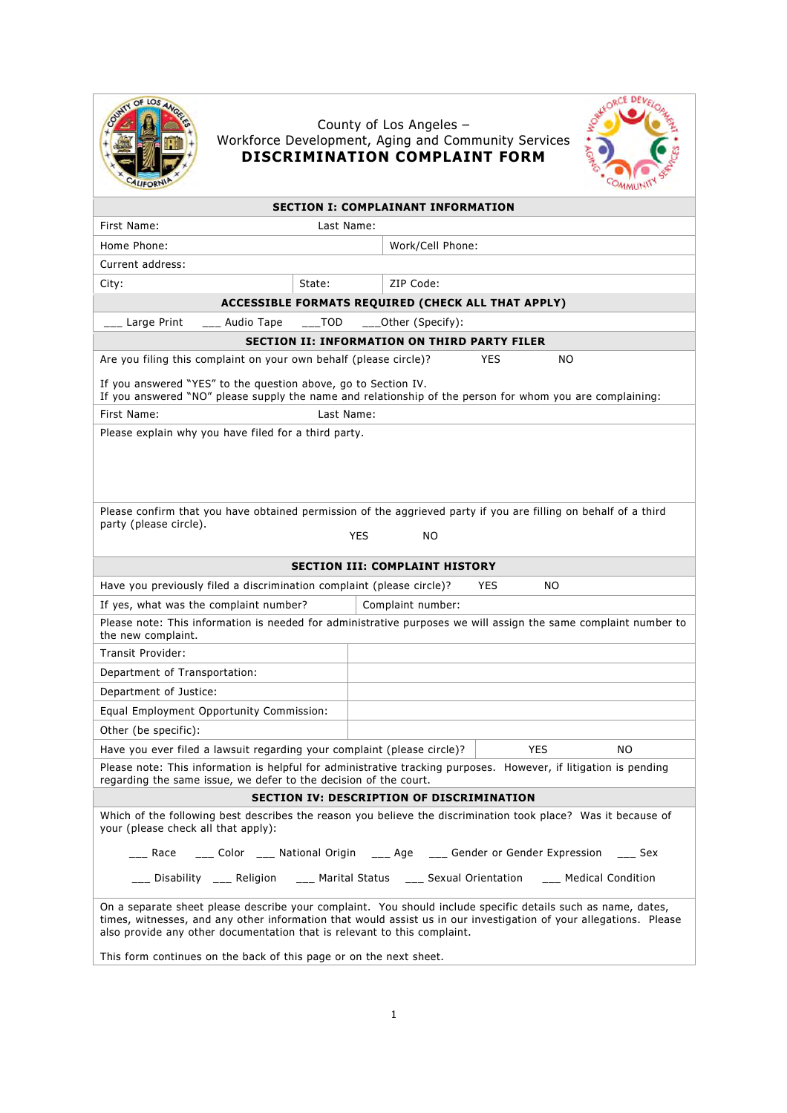

## County of Los Angeles – Workforce Development, Aging and Community Services **DISCRIMINATION COMPLAINT FORM**



| <b>SECTION I: COMPLAINANT INFORMATION</b>                                                                                                                                                                                                                                                                     |                                                                                                                 |  |  |  |
|---------------------------------------------------------------------------------------------------------------------------------------------------------------------------------------------------------------------------------------------------------------------------------------------------------------|-----------------------------------------------------------------------------------------------------------------|--|--|--|
| First Name:<br>Last Name:                                                                                                                                                                                                                                                                                     |                                                                                                                 |  |  |  |
| Home Phone:                                                                                                                                                                                                                                                                                                   | Work/Cell Phone:                                                                                                |  |  |  |
| Current address:                                                                                                                                                                                                                                                                                              |                                                                                                                 |  |  |  |
| State:<br>City:                                                                                                                                                                                                                                                                                               | ZIP Code:                                                                                                       |  |  |  |
|                                                                                                                                                                                                                                                                                                               | ACCESSIBLE FORMATS REQUIRED (CHECK ALL THAT APPLY)                                                              |  |  |  |
| <b>TOD</b><br>_ Large Print<br>Audio Tape                                                                                                                                                                                                                                                                     | ____Other (Specify):                                                                                            |  |  |  |
| <b>SECTION II: INFORMATION ON THIRD PARTY FILER</b>                                                                                                                                                                                                                                                           |                                                                                                                 |  |  |  |
| Are you filing this complaint on your own behalf (please circle)?<br>YES<br>NO                                                                                                                                                                                                                                |                                                                                                                 |  |  |  |
| If you answered "YES" to the question above, go to Section IV.<br>If you answered "NO" please supply the name and relationship of the person for whom you are complaining:                                                                                                                                    |                                                                                                                 |  |  |  |
| First Name:<br>Last Name:                                                                                                                                                                                                                                                                                     |                                                                                                                 |  |  |  |
| Please explain why you have filed for a third party.                                                                                                                                                                                                                                                          |                                                                                                                 |  |  |  |
|                                                                                                                                                                                                                                                                                                               |                                                                                                                 |  |  |  |
| party (please circle).                                                                                                                                                                                                                                                                                        | Please confirm that you have obtained permission of the aggrieved party if you are filling on behalf of a third |  |  |  |
|                                                                                                                                                                                                                                                                                                               | <b>YES</b><br><b>NO</b>                                                                                         |  |  |  |
|                                                                                                                                                                                                                                                                                                               | <b>SECTION III: COMPLAINT HISTORY</b>                                                                           |  |  |  |
| Have you previously filed a discrimination complaint (please circle)?<br><b>YES</b><br>NO.                                                                                                                                                                                                                    |                                                                                                                 |  |  |  |
| If yes, what was the complaint number?                                                                                                                                                                                                                                                                        | Complaint number:                                                                                               |  |  |  |
| Please note: This information is needed for administrative purposes we will assign the same complaint number to<br>the new complaint.                                                                                                                                                                         |                                                                                                                 |  |  |  |
| <b>Transit Provider:</b>                                                                                                                                                                                                                                                                                      |                                                                                                                 |  |  |  |
| Department of Transportation:                                                                                                                                                                                                                                                                                 |                                                                                                                 |  |  |  |
| Department of Justice:                                                                                                                                                                                                                                                                                        |                                                                                                                 |  |  |  |
| Equal Employment Opportunity Commission:                                                                                                                                                                                                                                                                      |                                                                                                                 |  |  |  |
| Other (be specific):                                                                                                                                                                                                                                                                                          |                                                                                                                 |  |  |  |
| Have you ever filed a lawsuit regarding your complaint (please circle)?                                                                                                                                                                                                                                       | <b>YES</b><br>NO.                                                                                               |  |  |  |
| Please note: This information is helpful for administrative tracking purposes. However, if litigation is pending<br>regarding the same issue, we defer to the decision of the court.                                                                                                                          |                                                                                                                 |  |  |  |
| <b>SECTION IV: DESCRIPTION OF DISCRIMINATION</b>                                                                                                                                                                                                                                                              |                                                                                                                 |  |  |  |
| Which of the following best describes the reason you believe the discrimination took place? Was it because of<br>your (please check all that apply):                                                                                                                                                          |                                                                                                                 |  |  |  |
| ___ Race ____ Color ____ National Origin ____ Age ____ Gender or Gender Expression ____ Sex                                                                                                                                                                                                                   |                                                                                                                 |  |  |  |
| ___ Disability ___ Religion ___ Marital Status ___ Sexual Orientation ___ Medical Condition                                                                                                                                                                                                                   |                                                                                                                 |  |  |  |
| On a separate sheet please describe your complaint. You should include specific details such as name, dates,<br>times, witnesses, and any other information that would assist us in our investigation of your allegations. Please<br>also provide any other documentation that is relevant to this complaint. |                                                                                                                 |  |  |  |

This form continues on the back of this page or on the next sheet.